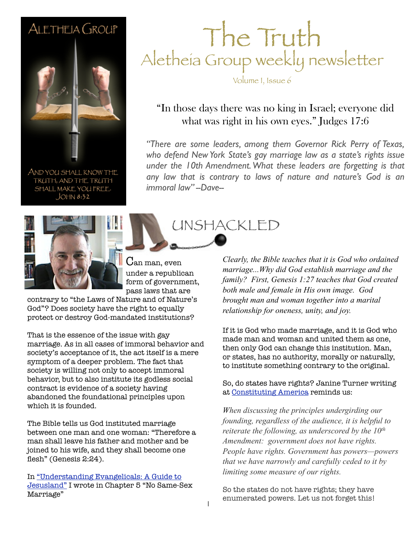### ALETHEIA GROUP



AND YOU SHALL KNOW THE TRUTH, AND THE TRUTH SHALL MAKE YOU FREE.  $JOHM 8:32$ 



The Truth Aletheia Group weekly newsletter

Volume I, Issue 6

### "In those days there was no king in Israel; everyone did what was right in his own eyes." Judges 17:6

who defend New York State's gay marriage law as a state's rights issue *"There are some leaders, among them Governor Rick Perry of Texas, under the 10th Amendment. What these leaders are forgetting is that any law that is contrary to laws of nature and nature's God is an immoral law" --Dave--*



contrary to "the Laws of Nature and of Nature's God"? Does society have the right to equally protect or destroy God-mandated institutions?

That is the essence of the issue with gay marriage. As in all cases of immoral behavior and society's acceptance of it, the act itself is a mere symptom of a deeper problem. The fact that society is willing not only to accept immoral behavior, but to also institute its godless social contract is evidence of a society having abandoned the foundational principles upon which it is founded.

The Bible tells us God instituted marriage between one man and one woman: "Therefore a man shall leave his father and mother and be joined to his wife, and they shall become one flesh" (Genesis 2:24).

In ["Understanding Evangelicals: A Guide to](http://www.amazon.com/Understanding-Evangelicals-David-Jeffers/dp/1600344879?&camp=213293&creative=387917&linkCode=waf&tag=jeffconsservi-20)  [Jesusland"](http://www.amazon.com/Understanding-Evangelicals-David-Jeffers/dp/1600344879?&camp=213293&creative=387917&linkCode=waf&tag=jeffconsservi-20) I wrote in Chapter 5 "No Same-Sex Marriage"

UNSHACKLED

*Clearly, the Bible teaches that it is God who ordained marriage...Why did God establish marriage and the family? First, Genesis 1:27 teaches that God created both male and female in His own image. God brought man and woman together into a marital relationship for oneness, unity, and joy.*

If it is God who made marriage, and it is God who made man and woman and united them as one, then only God can change this institution. Man, or states, has no authority, morally or naturally, to institute something contrary to the original.

So, do states have rights? Janine Turner writing at [Constituting America](http://constitutingamerica.org/) reminds us:

*When discussing the principles undergirding our founding, regardless of the audience, it is helpful to reiterate the following, as underscored by the 10th Amendment: government does not have rights. People have rights. Government has powers—powers that we have narrowly and carefully ceded to it by limiting some measure of our rights.*

So the states do not have rights; they have enumerated powers. Let us not forget this!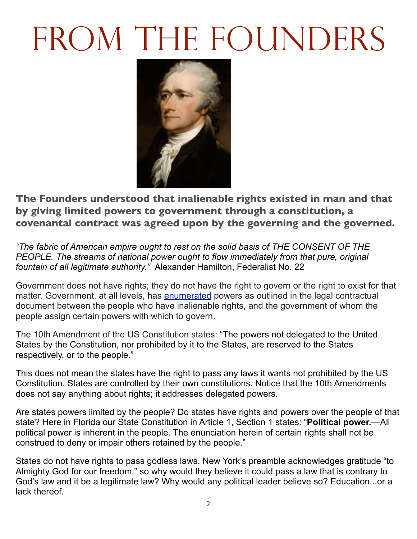# FROM THE FOUNDERS



**The Founders understood that inalienable rights existed in man and that by giving limited powers to government through a constitution, a covenantal contract was agreed upon by the governing and the governed.**

*"The fabric of American empire ought to rest on the solid basis of THE CONSENT OF THE PEOPLE. The streams of national power ought to flow immediately from that pure, original fountain of all legitimate authority."* Alexander Hamilton, Federalist No. 22

Government does not have rights; they do not have the right to govern or the right to exist for that matter. Government, at all levels, has [enumerated](http://dictionary.reference.com/browse/enumerated) powers as outlined in the legal contractual document between the people who have inalienable rights, and the government of whom the people assign certain powers with which to govern.

The 10th Amendment of the US Constitution states: "The powers not delegated to the United States by the Constitution, nor prohibited by it to the States, are reserved to the States respectively, or to the people."

This does not mean the states have the right to pass any laws it wants not prohibited by the US Constitution. States are controlled by their own constitutions. Notice that the 10th Amendments does not say anything about rights; it addresses delegated powers.

Are states powers limited by the people? Do states have rights and powers over the people of that state? Here in Florida our State Constitution in Article 1, Section 1 states: "**Political power.**—All political power is inherent in the people. The enunciation herein of certain rights shall not be construed to deny or impair others retained by the people."

States do not have rights to pass godless laws. New York's preamble acknowledges gratitude "to Almighty God for our freedom," so why would they believe it could pass a law that is contrary to God's law and it be a legitimate law? Why would any political leader believe so? Education...or a lack thereof.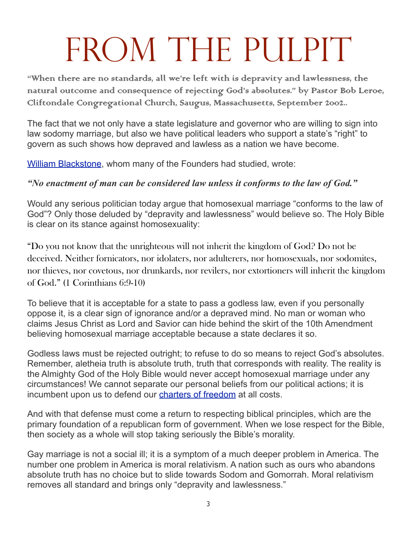## FROM THE PULPIT

"When there are no standards, all we're left with is depravity and lawlessness, the natural outcome and consequence of rejecting God's absolutes." by Pastor Bob Leroe, Cliftondale Congregational Church, Saugus, Massachusetts, September 2002..

The fact that we not only have a state legislature and governor who are willing to sign into law sodomy marriage, but also we have political leaders who support a state's "right" to govern as such shows how depraved and lawless as a nation we have become.

[William Blackstone,](http://en.wikipedia.org/wiki/William_Blackstone) whom many of the Founders had studied, wrote:

#### *"No enactment of man can be considered law unless it conforms to the law of God."*

Would any serious politician today argue that homosexual marriage "conforms to the law of God"? Only those deluded by "depravity and lawlessness" would believe so. The Holy Bible is clear on its stance against homosexuality:

"Do you not know that the unrighteous will not inherit the kingdom of God? Do not be deceived. Neither fornicators, nor idolaters, nor adulterers, nor homosexuals, nor sodomites, nor thieves, nor covetous, nor drunkards, nor revilers, nor extortioners will inherit the kingdom of God." (1 Corinthians 6:9-10)

To believe that it is acceptable for a state to pass a godless law, even if you personally oppose it, is a clear sign of ignorance and/or a depraved mind. No man or woman who claims Jesus Christ as Lord and Savior can hide behind the skirt of the 10th Amendment believing homosexual marriage acceptable because a state declares it so.

Godless laws must be rejected outright; to refuse to do so means to reject God's absolutes. Remember, aletheia truth is absolute truth, truth that corresponds with reality. The reality is the Almighty God of the Holy Bible would never accept homosexual marriage under any circumstances! We cannot separate our personal beliefs from our political actions; it is incumbent upon us to defend our [charters of freedom](http://www.archives.gov/exhibits/charters/) at all costs.

And with that defense must come a return to respecting biblical principles, which are the primary foundation of a republican form of government. When we lose respect for the Bible, then society as a whole will stop taking seriously the Bible's morality.

Gay marriage is not a social ill; it is a symptom of a much deeper problem in America. The number one problem in America is moral relativism. A nation such as ours who abandons absolute truth has no choice but to slide towards Sodom and Gomorrah. Moral relativism removes all standard and brings only "depravity and lawlessness."